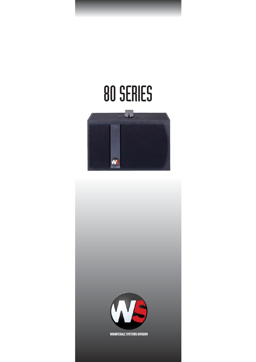## 80 SERIES



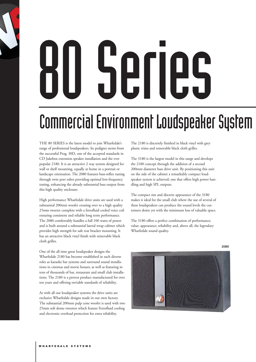## 80 Series

## Commercial Environment Loudspeaker System

THE 80 SERIES is the latest model to join Wharfedale's range of professional loudspeakers. Its pedigree stems from the successful Prog. 30D, one of the accepted standards in CD Jukebox extension speaker installation and the ever popular 2180. It is an attractive 2 way system designed for wall or shelf mounting, equally at home in a portrait or landscape orientation. The 2080 features bass-reflex tuning through twin port tubes providing optimal low-frequency tuning, enhancing the already substantial bass output from this high quality enclosure.

High performance Wharfedale drive units are used with a substantial 200mm woofer crossing over to a high quality 25mm tweeter complete with a ferrofluid cooled voice coil ensuring consistent and reliable long term performance. The 2080 comfortably handles a full 100 watts of power and is built around a substantial lateral wrap cabinet which provides high strength for safe rear bracket mounting. It has an attractive black vinyl finish with removable black cloth grilles.

One of the all time great loudspeaker designs the Wharfedale 2180 has become established in such diverse roles as karaoke bar systems and surround sound installations in cinemas and movie houses; as well as featuring in tens of thousands of bar, restaurant and small club installations. The 2180 is a proven product manufactured for over ten years and offering enviable standards of reliability.

As with all our loudspeaker systems the drive units are exclusive Wharfedale designs made in our own factory. The substantial 200mm pulp cone woofer is used with two 25mm soft dome tweeters which feature Ferrofluid cooling and electronic overload protection for extra reliability.

The 2180 is discretely finished in black vinyl with grey plastic trims and removable black cloth grilles.

The 3180 is the largest model in this range and develops the 2180 concept through the addition of a second 200mm diameter bass drive unit. By positioning this unit on the side of the cabinet a remarkably compact loudspeaker system is achieved; one that offers high power handling and high SPL outputs.

The compact size and discrete appearance of the 3180 makes it ideal for the small club where the use of several of these loudspeakers can produce the sound levels the customers desire yet with the minimum loss of valuable space.

The 3180 offers a perfect combination of performance; value; appearance; reliability and, above all, the legendary Wharfedale sound quality.

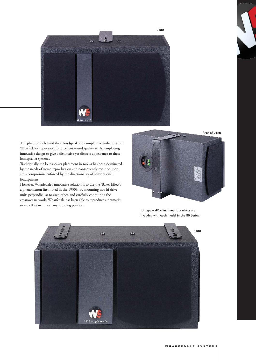

The philosophy behind these loudspeakers is simple. To further extend Wharfedales' reputation for excellent sound quality whilst employing innovative design to give a distinctive yet discrete appearance to these loudspeaker systems.

Traditionally the loudspeaker placement in rooms has been dominated by the needs of stereo reproduction and consequently most positions are a compromise enforced by the directionality of conventional loudspeakers.

However, Wharfedale's innovative solution is to use the 'Baker Effect', a phenomenon first noted in the 1930's. By mounting two hf drive units perpendicular to each other, and carefully contouring the crossover network, Wharfedale has been able to reproduce a dramatic stereo effect in almost any listening position.



**'U' type wall/ceiling mount brackets are included with each model in the 80 Series.**